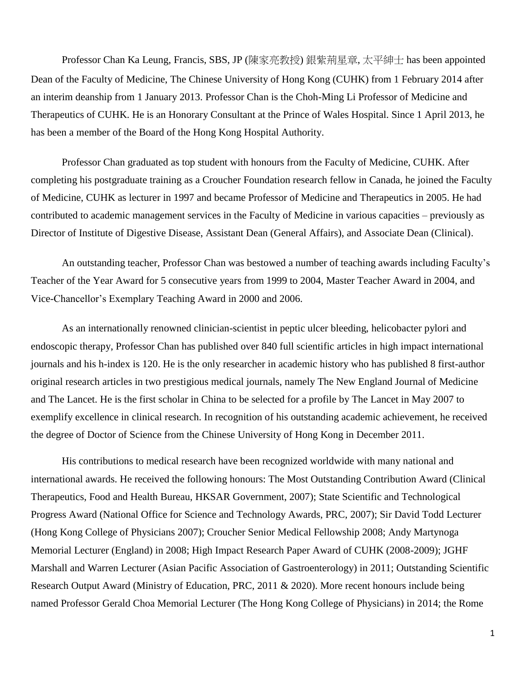Professor Chan Ka Leung, Francis, SBS, JP (陳家亮教授) 銀紫荊星章, 太平紳士 has been appointed Dean of the Faculty of Medicine, The Chinese University of Hong Kong (CUHK) from 1 February 2014 after an interim deanship from 1 January 2013. Professor Chan is the Choh-Ming Li Professor of Medicine and Therapeutics of CUHK. He is an Honorary Consultant at the Prince of Wales Hospital. Since 1 April 2013, he has been a member of the Board of the Hong Kong Hospital Authority.

Professor Chan graduated as top student with honours from the Faculty of Medicine, CUHK. After completing his postgraduate training as a Croucher Foundation research fellow in Canada, he joined the Faculty of Medicine, CUHK as lecturer in 1997 and became Professor of Medicine and Therapeutics in 2005. He had contributed to academic management services in the Faculty of Medicine in various capacities – previously as Director of Institute of Digestive Disease, Assistant Dean (General Affairs), and Associate Dean (Clinical).

An outstanding teacher, Professor Chan was bestowed a number of teaching awards including Faculty's Teacher of the Year Award for 5 consecutive years from 1999 to 2004, Master Teacher Award in 2004, and Vice-Chancellor's Exemplary Teaching Award in 2000 and 2006.

As an internationally renowned clinician-scientist in peptic ulcer bleeding, helicobacter pylori and endoscopic therapy, Professor Chan has published over 840 full scientific articles in high impact international journals and his h-index is 120. He is the only researcher in academic history who has published 8 first-author original research articles in two prestigious medical journals, namely The New England Journal of Medicine and The Lancet. He is the first scholar in China to be selected for a profile by The Lancet in May 2007 to exemplify excellence in clinical research. In recognition of his outstanding academic achievement, he received the degree of Doctor of Science from the Chinese University of Hong Kong in December 2011.

His contributions to medical research have been recognized worldwide with many national and international awards. He received the following honours: The Most Outstanding Contribution Award (Clinical Therapeutics, Food and Health Bureau, HKSAR Government, 2007); State Scientific and Technological Progress Award (National Office for Science and Technology Awards, PRC, 2007); Sir David Todd Lecturer (Hong Kong College of Physicians 2007); Croucher Senior Medical Fellowship 2008; Andy Martynoga Memorial Lecturer (England) in 2008; High Impact Research Paper Award of CUHK (2008-2009); JGHF Marshall and Warren Lecturer (Asian Pacific Association of Gastroenterology) in 2011; Outstanding Scientific Research Output Award (Ministry of Education, PRC, 2011 & 2020). More recent honours include being named Professor Gerald Choa Memorial Lecturer (The Hong Kong College of Physicians) in 2014; the Rome